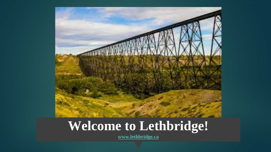

### **Welcome to Lethbridge!**

**[www.lethbridge.ca](http://www.lethbridge.ca)**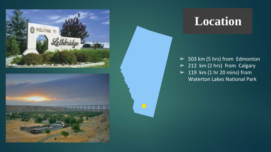



#### **Location**

 $>$  503 km (5 hrs) from Edmonton  $>$  212 km (2 hrs) from Calgary  $> 119$  km (1 hr 20 mins) from Waterton Lakes National Park

 $\sum$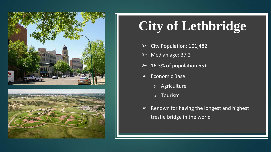



## **City of Lethbridge**

- $\triangleright$  City Population: 101,482
- $\blacktriangleright$  Median age: 37.2
- $\geq 16.3\%$  of population 65+
- $\triangleright$  Economic Base:
	- Agriculture
	- Tourism
- $\triangleright$  Renown for having the longest and highest trestle bridge in the world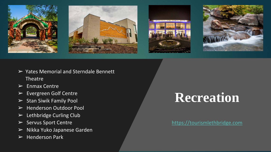







- ➢ Yates Memorial and Sterndale Bennett Theatre
- $\triangleright$  Enmax Centre
- ➢ Evergreen Golf Centre
- $\triangleright$  Stan Siwik Family Pool
- ➢ Henderson Outdoor Pool
- $\blacktriangleright$  Lethbridge Curling Club
- ➢ Servus Sport Centre
- ➢ Nikka Yuko Japanese Garden
- $\blacktriangleright$  Henderson Park

## **Recreation**

#### <https://tourismlethbridge.com>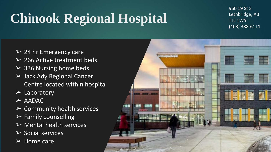## **Chinook Regional Hospital**

960 19 St S Lethbridge, AB T1J 1W5 (403) 388-6111

- $\geq$  24 hr Emergency care
- $\geq$  266 Active treatment beds
- $\geq$  336 Nursing home beds
- ➢ Jack Ady Regional Cancer Centre located within hospital
- $\triangleright$  Laboratory
- $>$  AADAC
- ➢ Community health services
- $\triangleright$  Family counselling
- $\triangleright$  Mental health services
- $\triangleright$  Social services
- $\triangleright$  Home care